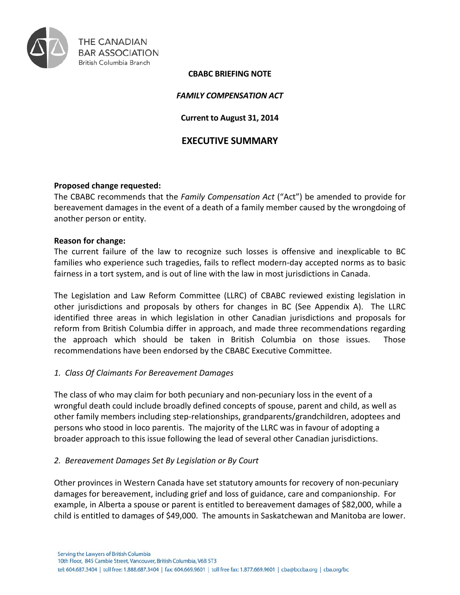

#### **CBABC BRIEFING NOTE**

## *FAMILY COMPENSATION ACT*

## **Current to August 31, 2014**

# **EXECUTIVE SUMMARY**

### **Proposed change requested:**

The CBABC recommends that the *Family Compensation Act* ("Act") be amended to provide for bereavement damages in the event of a death of a family member caused by the wrongdoing of another person or entity.

#### **Reason for change:**

The current failure of the law to recognize such losses is offensive and inexplicable to BC families who experience such tragedies, fails to reflect modern-day accepted norms as to basic fairness in a tort system, and is out of line with the law in most jurisdictions in Canada.

The Legislation and Law Reform Committee (LLRC) of CBABC reviewed existing legislation in other jurisdictions and proposals by others for changes in BC (See Appendix A). The LLRC identified three areas in which legislation in other Canadian jurisdictions and proposals for reform from British Columbia differ in approach, and made three recommendations regarding the approach which should be taken in British Columbia on those issues. Those recommendations have been endorsed by the CBABC Executive Committee.

## *1. Class Of Claimants For Bereavement Damages*

The class of who may claim for both pecuniary and non-pecuniary loss in the event of a wrongful death could include broadly defined concepts of spouse, parent and child, as well as other family members including step-relationships, grandparents/grandchildren, adoptees and persons who stood in loco parentis. The majority of the LLRC was in favour of adopting a broader approach to this issue following the lead of several other Canadian jurisdictions.

## *2. Bereavement Damages Set By Legislation or By Court*

Other provinces in Western Canada have set statutory amounts for recovery of non-pecuniary damages for bereavement, including grief and loss of guidance, care and companionship. For example, in Alberta a spouse or parent is entitled to bereavement damages of \$82,000, while a child is entitled to damages of \$49,000. The amounts in Saskatchewan and Manitoba are lower.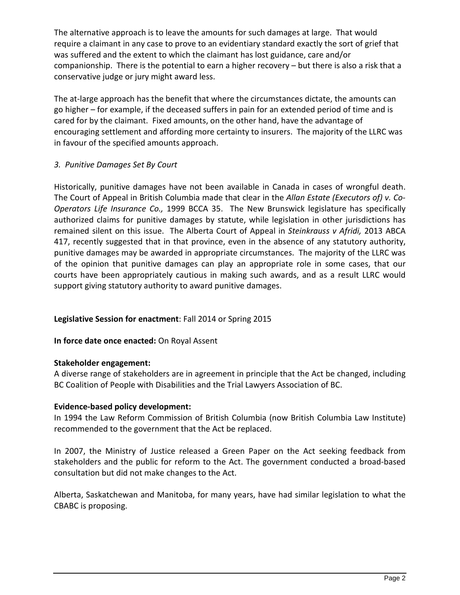The alternative approach is to leave the amounts for such damages at large. That would require a claimant in any case to prove to an evidentiary standard exactly the sort of grief that was suffered and the extent to which the claimant has lost guidance, care and/or companionship. There is the potential to earn a higher recovery – but there is also a risk that a conservative judge or jury might award less.

The at-large approach has the benefit that where the circumstances dictate, the amounts can go higher – for example, if the deceased suffers in pain for an extended period of time and is cared for by the claimant. Fixed amounts, on the other hand, have the advantage of encouraging settlement and affording more certainty to insurers. The majority of the LLRC was in favour of the specified amounts approach.

# *3. Punitive Damages Set By Court*

Historically, punitive damages have not been available in Canada in cases of wrongful death. The Court of Appeal in British Columbia made that clear in the *Allan Estate (Executors of) v. Co-Operators Life Insurance Co.,* 1999 BCCA 35. The New Brunswick legislature has specifically authorized claims for punitive damages by statute, while legislation in other jurisdictions has remained silent on this issue. The Alberta Court of Appeal in *Steinkrauss v Afridi,* 2013 ABCA 417, recently suggested that in that province, even in the absence of any statutory authority, punitive damages may be awarded in appropriate circumstances. The majority of the LLRC was of the opinion that punitive damages can play an appropriate role in some cases, that our courts have been appropriately cautious in making such awards, and as a result LLRC would support giving statutory authority to award punitive damages.

## **Legislative Session for enactment**: Fall 2014 or Spring 2015

## **In force date once enacted:** On Royal Assent

## **Stakeholder engagement:**

A diverse range of stakeholders are in agreement in principle that the Act be changed, including BC Coalition of People with Disabilities and the Trial Lawyers Association of BC.

## **Evidence-based policy development:**

In 1994 the Law Reform Commission of British Columbia (now British Columbia Law Institute) recommended to the government that the Act be replaced.

In 2007, the Ministry of Justice released a Green Paper on the Act seeking feedback from stakeholders and the public for reform to the Act. The government conducted a broad-based consultation but did not make changes to the Act.

Alberta, Saskatchewan and Manitoba, for many years, have had similar legislation to what the CBABC is proposing.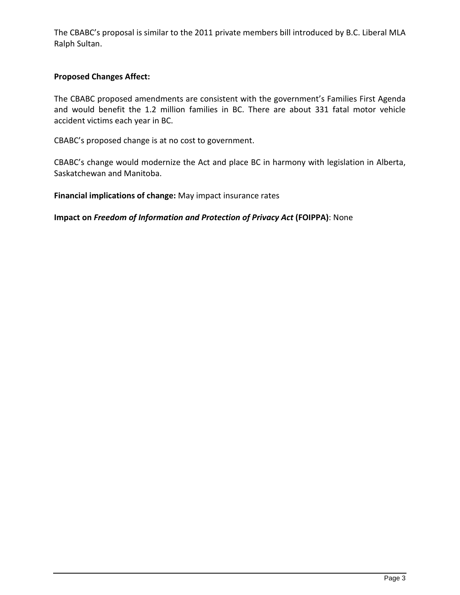The CBABC's proposal is similar to the 2011 private members bill introduced by B.C. Liberal MLA Ralph Sultan.

## **Proposed Changes Affect:**

The CBABC proposed amendments are consistent with the government's Families First Agenda and would benefit the 1.2 million families in BC. There are about 331 fatal motor vehicle accident victims each year in BC.

CBABC's proposed change is at no cost to government.

CBABC's change would modernize the Act and place BC in harmony with legislation in Alberta, Saskatchewan and Manitoba.

**Financial implications of change:** May impact insurance rates

**Impact on** *Freedom of Information and Protection of Privacy Act* **(FOIPPA)**: None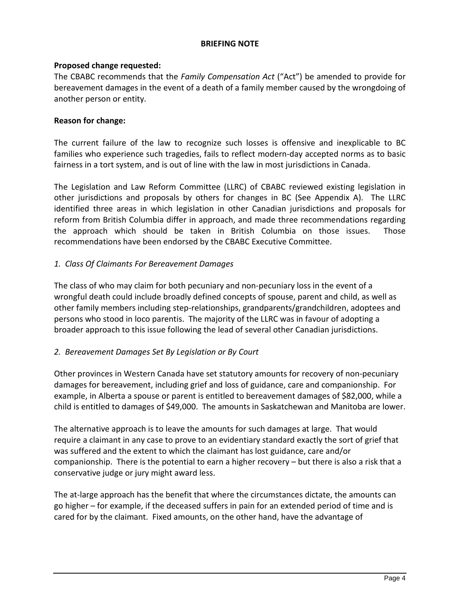### **BRIEFING NOTE**

## **Proposed change requested:**

The CBABC recommends that the *Family Compensation Act* ("Act") be amended to provide for bereavement damages in the event of a death of a family member caused by the wrongdoing of another person or entity.

### **Reason for change:**

The current failure of the law to recognize such losses is offensive and inexplicable to BC families who experience such tragedies, fails to reflect modern-day accepted norms as to basic fairness in a tort system, and is out of line with the law in most jurisdictions in Canada.

The Legislation and Law Reform Committee (LLRC) of CBABC reviewed existing legislation in other jurisdictions and proposals by others for changes in BC (See Appendix A). The LLRC identified three areas in which legislation in other Canadian jurisdictions and proposals for reform from British Columbia differ in approach, and made three recommendations regarding the approach which should be taken in British Columbia on those issues. Those recommendations have been endorsed by the CBABC Executive Committee.

### *1. Class Of Claimants For Bereavement Damages*

The class of who may claim for both pecuniary and non-pecuniary loss in the event of a wrongful death could include broadly defined concepts of spouse, parent and child, as well as other family members including step-relationships, grandparents/grandchildren, adoptees and persons who stood in loco parentis. The majority of the LLRC was in favour of adopting a broader approach to this issue following the lead of several other Canadian jurisdictions.

## *2. Bereavement Damages Set By Legislation or By Court*

Other provinces in Western Canada have set statutory amounts for recovery of non-pecuniary damages for bereavement, including grief and loss of guidance, care and companionship. For example, in Alberta a spouse or parent is entitled to bereavement damages of \$82,000, while a child is entitled to damages of \$49,000. The amounts in Saskatchewan and Manitoba are lower.

The alternative approach is to leave the amounts for such damages at large. That would require a claimant in any case to prove to an evidentiary standard exactly the sort of grief that was suffered and the extent to which the claimant has lost guidance, care and/or companionship. There is the potential to earn a higher recovery – but there is also a risk that a conservative judge or jury might award less.

The at-large approach has the benefit that where the circumstances dictate, the amounts can go higher – for example, if the deceased suffers in pain for an extended period of time and is cared for by the claimant. Fixed amounts, on the other hand, have the advantage of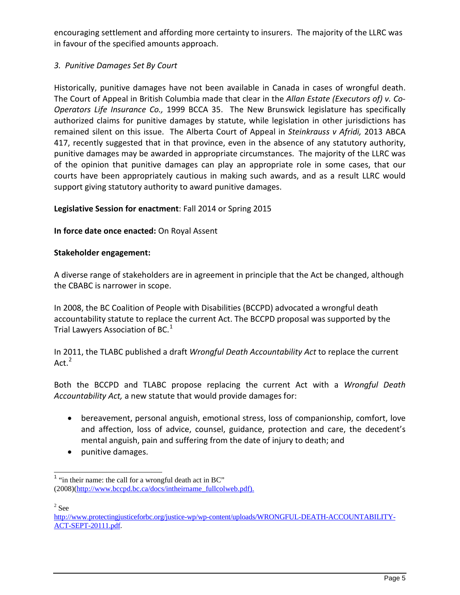encouraging settlement and affording more certainty to insurers. The majority of the LLRC was in favour of the specified amounts approach.

# *3. Punitive Damages Set By Court*

Historically, punitive damages have not been available in Canada in cases of wrongful death. The Court of Appeal in British Columbia made that clear in the *Allan Estate (Executors of) v. Co-Operators Life Insurance Co.,* 1999 BCCA 35. The New Brunswick legislature has specifically authorized claims for punitive damages by statute, while legislation in other jurisdictions has remained silent on this issue. The Alberta Court of Appeal in *Steinkrauss v Afridi,* 2013 ABCA 417, recently suggested that in that province, even in the absence of any statutory authority, punitive damages may be awarded in appropriate circumstances. The majority of the LLRC was of the opinion that punitive damages can play an appropriate role in some cases, that our courts have been appropriately cautious in making such awards, and as a result LLRC would support giving statutory authority to award punitive damages.

## **Legislative Session for enactment**: Fall 2014 or Spring 2015

## **In force date once enacted:** On Royal Assent

## **Stakeholder engagement:**

A diverse range of stakeholders are in agreement in principle that the Act be changed, although the CBABC is narrower in scope.

In 2008, the BC Coalition of People with Disabilities (BCCPD) advocated a wrongful death accountability statute to replace the current Act. The BCCPD proposal was supported by the Trial Lawyers Association of BC. $<sup>1</sup>$ </sup>

In 2011, the TLABC published a draft *Wrongful Death Accountability Act* to replace the current Act. $2$ 

Both the BCCPD and TLABC propose replacing the current Act with a *Wrongful Death Accountability Act,* a new statute that would provide damages for:

- bereavement, personal anguish, emotional stress, loss of companionship, comfort, love and affection, loss of advice, counsel, guidance, protection and care, the decedent's mental anguish, pain and suffering from the date of injury to death; and
- punitive damages.

 $2$  See

 $<sup>1</sup>$  "in their name: the call for a wrongful death act in BC"</sup> (2008)(http://www.bccpd.bc.ca/docs/intheirname\_fullcolweb.pdf).

http://www.protectingjusticeforbc.org/justice-wp/wp-content/uploads/WRONGFUL-DEATH-ACCOUNTABILITY-ACT-SEPT-20111.pdf.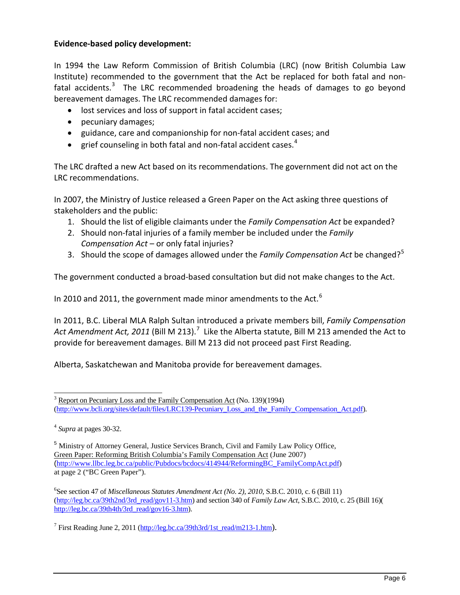## **Evidence-based policy development:**

In 1994 the Law Reform Commission of British Columbia (LRC) (now British Columbia Law Institute) recommended to the government that the Act be replaced for both fatal and nonfatal accidents. $3$  The LRC recommended broadening the heads of damages to go beyond bereavement damages. The LRC recommended damages for:

- lost services and loss of support in fatal accident cases;
- pecuniary damages;
- guidance, care and companionship for non-fatal accident cases; and
- grief counseling in both fatal and non-fatal accident cases. $4$

The LRC drafted a new Act based on its recommendations. The government did not act on the LRC recommendations.

In 2007, the Ministry of Justice released a Green Paper on the Act asking three questions of stakeholders and the public:

- 1. Should the list of eligible claimants under the *Family Compensation Act* be expanded?
- 2. Should non-fatal injuries of a family member be included under the *Family Compensation Act* – or only fatal injuries?
- 3. Should the scope of damages allowed under the *Family Compensation Act* be changed?<sup>5</sup>

The government conducted a broad-based consultation but did not make changes to the Act.

In 2010 and 2011, the government made minor amendments to the Act.<sup>6</sup>

In 2011, B.C. Liberal MLA Ralph Sultan introduced a private members bill, *Family Compensation*  Act Amendment Act, 2011 (Bill M 213).<sup>7</sup> Like the Alberta statute, Bill M 213 amended the Act to provide for bereavement damages. Bill M 213 did not proceed past First Reading.

Alberta, Saskatchewan and Manitoba provide for bereavement damages.

<sup>&</sup>lt;sup>3</sup> Report on Pecuniary Loss and the Family Compensation Act (No. 139)(1994) (http://www.bcli.org/sites/default/files/LRC139-Pecuniary\_Loss\_and\_the\_Family\_Compensation\_Act.pdf).

<sup>4</sup> *Supra* at pages 30-32.

<sup>&</sup>lt;sup>5</sup> Ministry of Attorney General, Justice Services Branch, Civil and Family Law Policy Office, Green Paper: Reforming British Columbia's Family Compensation Act (June 2007) (http://www.llbc.leg.bc.ca/public/Pubdocs/bcdocs/414944/ReformingBC\_FamilyCompAct.pdf) at page 2 ("BC Green Paper").

<sup>6</sup> See section 47 of *Miscellaneous Statutes Amendment Act (No. 2), 2010*, S.B.C. 2010, c. 6 (Bill 11) (http://leg.bc.ca/39th2nd/3rd\_read/gov11-3.htm) and section 340 of *Family Law Act*, S.B.C. 2010, c. 25 (Bill 16)( http://leg.bc.ca/39th4th/3rd\_read/gov16-3.htm).

<sup>7</sup> First Reading June 2, 2011 (http://leg.bc.ca/39th3rd/1st\_read/m213-1.htm).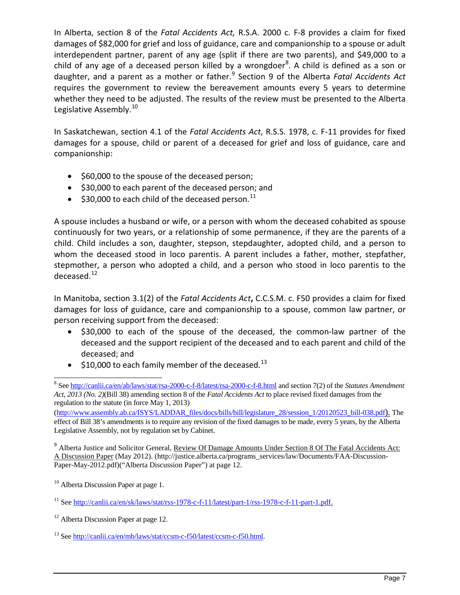In Alberta, section 8 of the *Fatal Accidents Act,* R.S.A. 2000 c. F-8 provides a claim for fixed damages of \$82,000 for grief and loss of guidance, care and companionship to a spouse or adult interdependent partner, parent of any age (split if there are two parents), and \$49,000 to a child of any age of a deceased person killed by a wrongdoer<sup>8</sup>. A child is defined as a son or daughter, and a parent as a mother or father. <sup>9</sup> Section 9 of the Alberta *Fatal Accidents Act* requires the government to review the bereavement amounts every 5 years to determine whether they need to be adjusted. The results of the review must be presented to the Alberta Legislative Assembly.<sup>10</sup>

In Saskatchewan, section 4.1 of the *Fatal Accidents Act*, R.S.S. 1978, c. F-11 provides for fixed damages for a spouse, child or parent of a deceased for grief and loss of guidance, care and companionship:

- \$60,000 to the spouse of the deceased person;
- \$30,000 to each parent of the deceased person; and
- $\bullet$  \$30,000 to each child of the deceased person.<sup>11</sup>

A spouse includes a husband or wife, or a person with whom the deceased cohabited as spouse continuously for two years, or a relationship of some permanence, if they are the parents of a child. Child includes a son, daughter, stepson, stepdaughter, adopted child, and a person to whom the deceased stood in loco parentis. A parent includes a father, mother, stepfather, stepmother, a person who adopted a child, and a person who stood in loco parentis to the deceased.<sup>12</sup>

In Manitoba, section 3.1(2) of the *Fatal Accidents Act***,** C.C.S.M. c. F50 provides a claim for fixed damages for loss of guidance, care and companionship to a spouse, common law partner, or person receiving support from the deceased:

- \$30,000 to each of the spouse of the deceased, the common-law partner of the deceased and the support recipient of the deceased and to each parent and child of the deceased; and
- $\bullet$  \$10,000 to each family member of the deceased.<sup>13</sup>

(http://www.assembly.ab.ca/ISYS/LADDAR\_files/docs/bills/bill/legislature\_28/session\_1/20120523\_bill-038.pdf). The effect of Bill 38's amendments is to require any revision of the fixed damages to be made, every 5 years, by the Alberta Legislative Assembly, not by regulation set by Cabinet.

<sup>9</sup> Alberta Justice and Solicitor General, Review Of Damage Amounts Under Section 8 Of The Fatal Accidents Act: A Discussion Paper (May 2012). (http://justice.alberta.ca/programs\_services/law/Documents/FAA-Discussion-Paper-May-2012.pdf)("Alberta Discussion Paper") at page 12.

<sup>8</sup> See http://canlii.ca/en/ab/laws/stat/rsa-2000-c-f-8/latest/rsa-2000-c-f-8.html and section 7(2) of the *Statutes Amendment Act, 2013 (No. 2)*(Bill 38) amending section 8 of the *Fatal Accidents Act* to place revised fixed damages from the regulation to the statute (in force May 1, 2013)

<sup>&</sup>lt;sup>10</sup> Alberta Discussion Paper at page 1.

<sup>11</sup> See http://canlii.ca/en/sk/laws/stat/rss-1978-c-f-11/latest/part-1/rss-1978-c-f-11-part-1.pdf.

<sup>&</sup>lt;sup>12</sup> Alberta Discussion Paper at page 12.

<sup>13</sup> See http://canlii.ca/en/mb/laws/stat/ccsm-c-f50/latest/ccsm-c-f50.html.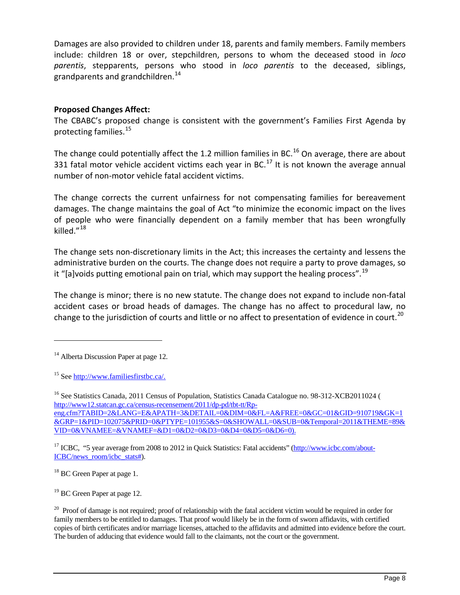Damages are also provided to children under 18, parents and family members. Family members include: children 18 or over, stepchildren, persons to whom the deceased stood in *loco parentis*, stepparents, persons who stood in *loco parentis* to the deceased, siblings, grandparents and grandchildren. $14$ 

## **Proposed Changes Affect:**

The CBABC's proposed change is consistent with the government's Families First Agenda by protecting families.<sup>15</sup>

The change could potentially affect the 1.2 million families in BC.<sup>16</sup> On average, there are about 331 fatal motor vehicle accident victims each year in BC.<sup>17</sup> It is not known the average annual number of non-motor vehicle fatal accident victims.

The change corrects the current unfairness for not compensating families for bereavement damages. The change maintains the goal of Act "to minimize the economic impact on the lives of people who were financially dependent on a family member that has been wrongfully killed."<sup>18</sup>

The change sets non-discretionary limits in the Act; this increases the certainty and lessens the administrative burden on the courts. The change does not require a party to prove damages, so it "[a]voids putting emotional pain on trial, which may support the healing process".<sup>19</sup>

The change is minor; there is no new statute. The change does not expand to include non-fatal accident cases or broad heads of damages. The change has no affect to procedural law, no change to the jurisdiction of courts and little or no affect to presentation of evidence in court.<sup>20</sup>

j

<sup>17</sup> ICBC, "5 year average from 2008 to 2012 in Quick Statistics: Fatal accidents" (http://www.icbc.com/about-ICBC/news\_room/icbc\_stats#).

<sup>18</sup> BC Green Paper at page 1.

<sup>19</sup> BC Green Paper at page 12.

<sup>&</sup>lt;sup>14</sup> Alberta Discussion Paper at page 12.

<sup>15</sup> See http://www.familiesfirstbc.ca/.

<sup>&</sup>lt;sup>16</sup> See Statistics Canada, 2011 Census of Population, Statistics Canada Catalogue no. 98-312-XCB2011024 ( http://www12.statcan.gc.ca/census-recensement/2011/dp-pd/tbt-tt/Rpeng.cfm?TABID=2&LANG=E&APATH=3&DETAIL=0&DIM=0&FL=A&FREE=0&GC=01&GID=910719&GK=1 &GRP=1&PID=102075&PRID=0&PTYPE=101955&S=0&SHOWALL=0&SUB=0&Temporal=2011&THEME=89& VID=0&VNAMEE=&VNAMEF=&D1=0&D2=0&D3=0&D4=0&D5=0&D6=0).

 $20$  Proof of damage is not required; proof of relationship with the fatal accident victim would be required in order for family members to be entitled to damages. That proof would likely be in the form of sworn affidavits, with certified copies of birth certificates and/or marriage licenses, attached to the affidavits and admitted into evidence before the court. The burden of adducing that evidence would fall to the claimants, not the court or the government.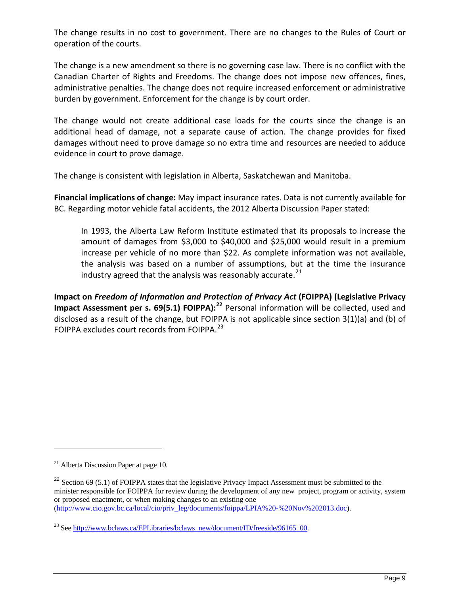The change results in no cost to government. There are no changes to the Rules of Court or operation of the courts.

The change is a new amendment so there is no governing case law. There is no conflict with the Canadian Charter of Rights and Freedoms. The change does not impose new offences, fines, administrative penalties. The change does not require increased enforcement or administrative burden by government. Enforcement for the change is by court order.

The change would not create additional case loads for the courts since the change is an additional head of damage, not a separate cause of action. The change provides for fixed damages without need to prove damage so no extra time and resources are needed to adduce evidence in court to prove damage.

The change is consistent with legislation in Alberta, Saskatchewan and Manitoba.

**Financial implications of change:** May impact insurance rates. Data is not currently available for BC. Regarding motor vehicle fatal accidents, the 2012 Alberta Discussion Paper stated:

In 1993, the Alberta Law Reform Institute estimated that its proposals to increase the amount of damages from \$3,000 to \$40,000 and \$25,000 would result in a premium increase per vehicle of no more than \$22. As complete information was not available, the analysis was based on a number of assumptions, but at the time the insurance industry agreed that the analysis was reasonably accurate. $^{21}$ 

**Impact on** *Freedom of Information and Protection of Privacy Act* **(FOIPPA) (Legislative Privacy Impact Assessment per s. 69(5.1) FOIPPA):<sup>22</sup>** Personal information will be collected, used and disclosed as a result of the change, but FOIPPA is not applicable since section 3(1)(a) and (b) of FOIPPA excludes court records from FOIPPA.<sup>23</sup>

-

 $^{21}$  Alberta Discussion Paper at page 10.

 $22$  Section 69 (5.1) of FOIPPA states that the legislative Privacy Impact Assessment must be submitted to the minister responsible for FOIPPA for review during the development of any new project, program or activity, system or proposed enactment, or when making changes to an existing one (http://www.cio.gov.bc.ca/local/cio/priv\_leg/documents/foippa/LPIA%20-%20Nov%202013.doc).

<sup>&</sup>lt;sup>23</sup> See http://www.bclaws.ca/EPLibraries/bclaws\_new/document/ID/freeside/96165\_00.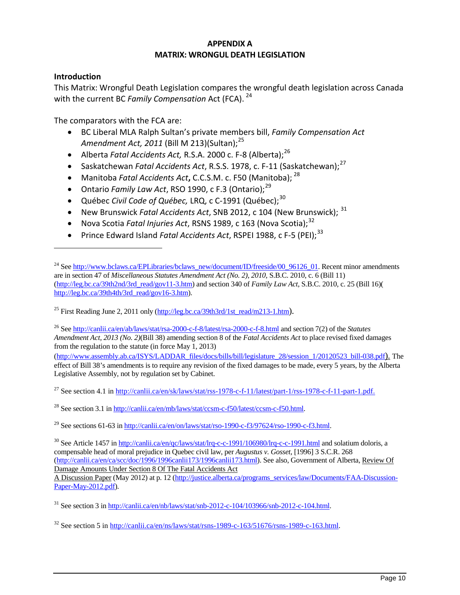#### **APPENDIX A MATRIX: WRONGUL DEATH LEGISLATION**

### **Introduction**

-

This Matrix: Wrongful Death Legislation compares the wrongful death legislation across Canada with the current BC *Family Compensation* Act (FCA). 24

The comparators with the FCA are:

- BC Liberal MLA Ralph Sultan's private members bill, *Family Compensation Act*  Amendment Act, 2011 (Bill M 213)(Sultan);<sup>25</sup>
- Alberta *Fatal Accidents Act, R.S.A.* 2000 c. F-8 (Alberta);<sup>26</sup>
- Saskatchewan *Fatal Accidents Act*, R.S.S. 1978, c. F-11 (Saskatchewan):<sup>27</sup>
- Manitoba *Fatal Accidents Act***,** C.C.S.M. c. F50 (Manitoba); <sup>28</sup>
- Ontario *Family Law Act*, RSO 1990, c F.3 (Ontario);<sup>29</sup>
- Québec *Civil Code of Québec,* LRQ, c C-1991 (Québec); 30
- New Brunswick Fatal Accidents Act, SNB 2012, c 104 (New Brunswick); <sup>31</sup>
- Nova Scotia *Fatal Injuries Act*, RSNS 1989, c 163 (Nova Scotia);<sup>32</sup>
- Prince Edward Island *Fatal Accidents Act*, RSPEI 1988, c F-5 (PEI);<sup>33</sup>

<sup>25</sup> First Reading June 2, 2011 only (http://leg.bc.ca/39th3rd/1st\_read/m213-1.htm).

<sup>26</sup> See http://canlii.ca/en/ab/laws/stat/rsa-2000-c-f-8/latest/rsa-2000-c-f-8.html and section 7(2) of the *Statutes Amendment Act, 2013 (No. 2)*(Bill 38) amending section 8 of the *Fatal Accidents Act* to place revised fixed damages from the regulation to the statute (in force May 1, 2013)

(http://www.assembly.ab.ca/ISYS/LADDAR\_files/docs/bills/bill/legislature\_28/session\_1/20120523\_bill-038.pdf). The effect of Bill 38's amendments is to require any revision of the fixed damages to be made, every 5 years, by the Alberta Legislative Assembly, not by regulation set by Cabinet.

<sup>27</sup> See section 4.1 in http://canlii.ca/en/sk/laws/stat/rss-1978-c-f-11/latest/part-1/rss-1978-c-f-11-part-1.pdf.

<sup>28</sup> See section 3.1 in http://canlii.ca/en/mb/laws/stat/ccsm-c-f50/latest/ccsm-c-f50.html.

<sup>29</sup> See sections 61-63 in http://canlii.ca/en/on/laws/stat/rso-1990-c-f3/97624/rso-1990-c-f3.html.

 $30$  See Article 1457 in http://canlii.ca/en/qc/laws/stat/lrq-c-c-1991/106980/lrq-c-c-1991.html and solatium doloris, a compensable head of moral prejudice in Quebec civil law, per *Augustus v. Gosset*, [1996] 3 S.C.R. 268 (http://canlii.ca/en/ca/scc/doc/1996/1996canlii173/1996canlii173.html). See also, Government of Alberta, Review Of Damage Amounts Under Section 8 Of The Fatal Accidents Act A Discussion Paper (May 2012) at p. 12 (http://justice.alberta.ca/programs\_services/law/Documents/FAA-Discussion-

Paper-May-2012.pdf).

<sup>&</sup>lt;sup>24</sup> See http://www.bclaws.ca/EPLibraries/bclaws\_new/document/ID/freeside/00\_96126\_01. Recent minor amendments are in section 47 of *Miscellaneous Statutes Amendment Act (No. 2), 2010*, S.B.C. 2010, c. 6 (Bill 11) (http://leg.bc.ca/39th2nd/3rd\_read/gov11-3.htm) and section 340 of *Family Law Act*, S.B.C. 2010, c. 25 (Bill 16)( http://leg.bc.ca/39th4th/3rd\_read/gov16-3.htm).

 $31$  See section 3 in http://canlii.ca/en/nb/laws/stat/snb-2012-c-104/103966/snb-2012-c-104.html.

<sup>32</sup> See section 5 in http://canlii.ca/en/ns/laws/stat/rsns-1989-c-163/51676/rsns-1989-c-163.html.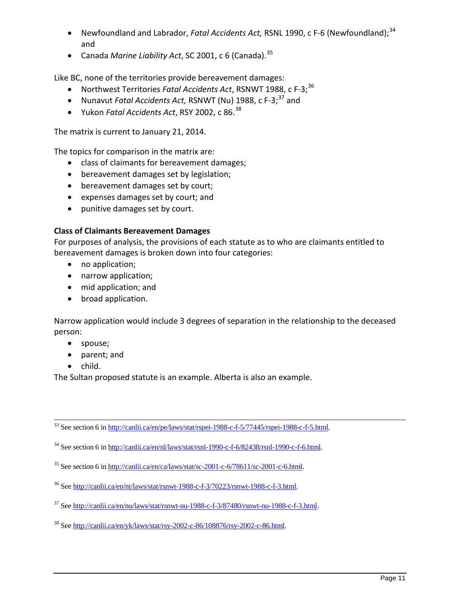- Newfoundland and Labrador, *Fatal Accidents Act*, RSNL 1990, c F-6 (Newfoundland);<sup>34</sup> and
- Canada *Marine Liability Act*, SC 2001, c 6 (Canada).<sup>35</sup>

Like BC, none of the territories provide bereavement damages:

- Northwest Territories *Fatal Accidents Act*, RSNWT 1988, c F-3; 36
- Nunavut *Fatal Accidents Act,* RSNWT (Nu) 1988, c F-3; <sup>37</sup> and
- Yukon *Fatal Accidents Act*, RSY 2002, c 86.<sup>38</sup>

The matrix is current to January 21, 2014.

The topics for comparison in the matrix are:

- class of claimants for bereavement damages;
- bereavement damages set by legislation;
- bereavement damages set by court;
- expenses damages set by court; and
- punitive damages set by court.

# **Class of Claimants Bereavement Damages**

For purposes of analysis, the provisions of each statute as to who are claimants entitled to bereavement damages is broken down into four categories:

- no application;
- narrow application;
- mid application; and
- broad application.

Narrow application would include 3 degrees of separation in the relationship to the deceased person:

- spouse;
- parent; and
- child.

The Sultan proposed statute is an example. Alberta is also an example.

<sup>33</sup> See section 6 in http://canlii.ca/en/pe/laws/stat/rspei-1988-c-f-5/77445/rspei-1988-c-f-5.html.

<sup>34</sup> See section 6 in http://canlii.ca/en/nl/laws/stat/rsnl-1990-c-f-6/82438/rsnl-1990-c-f-6.html.

<sup>35</sup> See section 6 in http://canlii.ca/en/ca/laws/stat/sc-2001-c-6/78611/sc-2001-c-6.html.

<sup>36</sup> See http://canlii.ca/en/nt/laws/stat/rsnwt-1988-c-f-3/70223/rsnwt-1988-c-f-3.html.

 $37$  See http://canlii.ca/en/nu/laws/stat/rsnwt-nu-1988-c-f-3/87480/rsnwt-nu-1988-c-f-3.html.

<sup>38</sup> See http://canlii.ca/en/yk/laws/stat/rsy-2002-c-86/108876/rsy-2002-c-86.html.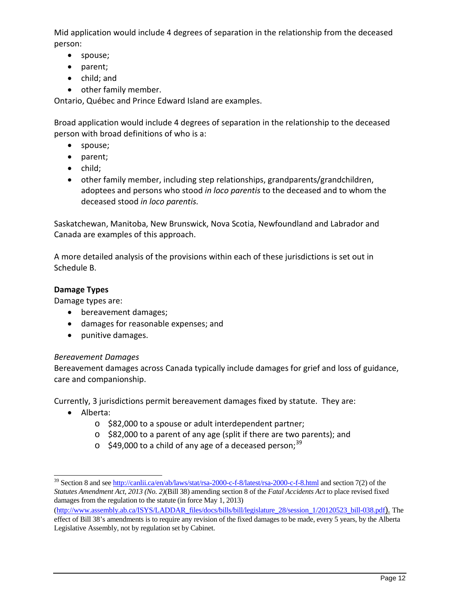Mid application would include 4 degrees of separation in the relationship from the deceased person:

- spouse;
- parent;
- child; and
- other family member.

Ontario, Québec and Prince Edward Island are examples.

Broad application would include 4 degrees of separation in the relationship to the deceased person with broad definitions of who is a:

- spouse;
- parent;
- child;
- other family member, including step relationships, grandparents/grandchildren, adoptees and persons who stood *in loco parentis* to the deceased and to whom the deceased stood *in loco parentis.*

Saskatchewan, Manitoba, New Brunswick, Nova Scotia, Newfoundland and Labrador and Canada are examples of this approach.

A more detailed analysis of the provisions within each of these jurisdictions is set out in Schedule B.

### **Damage Types**

Damage types are:

- bereavement damages;
- damages for reasonable expenses; and
- punitive damages.

#### *Bereavement Damages*

Bereavement damages across Canada typically include damages for grief and loss of guidance, care and companionship.

Currently, 3 jurisdictions permit bereavement damages fixed by statute. They are:

- Alberta:
	- o \$82,000 to a spouse or adult interdependent partner;
	- o \$82,000 to a parent of any age (split if there are two parents); and
	- $\circ$  \$49,000 to a child of any age of a deceased person;<sup>39</sup>

<sup>&</sup>lt;sup>39</sup> Section 8 and see http://canlii.ca/en/ab/laws/stat/rsa-2000-c-f-8/latest/rsa-2000-c-f-8.html and section 7(2) of the *Statutes Amendment Act, 2013 (No. 2)*(Bill 38) amending section 8 of the *Fatal Accidents Act* to place revised fixed damages from the regulation to the statute (in force May 1, 2013)

<sup>(</sup>http://www.assembly.ab.ca/ISYS/LADDAR\_files/docs/bills/bill/legislature\_28/session\_1/20120523\_bill-038.pdf). The effect of Bill 38's amendments is to require any revision of the fixed damages to be made, every 5 years, by the Alberta Legislative Assembly, not by regulation set by Cabinet.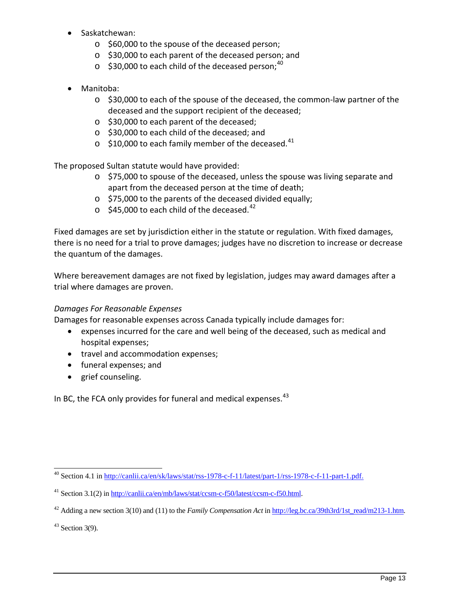- Saskatchewan:
	- o \$60,000 to the spouse of the deceased person;
	- o \$30,000 to each parent of the deceased person; and
	- $\circ$  \$30,000 to each child of the deceased person;<sup>40</sup>
- Manitoba:
	- $\circ$  \$30,000 to each of the spouse of the deceased, the common-law partner of the deceased and the support recipient of the deceased;
	- o \$30,000 to each parent of the deceased;
	- o \$30,000 to each child of the deceased; and
	- $\circ$  \$10,000 to each family member of the deceased.<sup>41</sup>

The proposed Sultan statute would have provided:

- o \$75,000 to spouse of the deceased, unless the spouse was living separate and apart from the deceased person at the time of death;
- o \$75,000 to the parents of the deceased divided equally;
- $\circ$  \$45,000 to each child of the deceased.<sup>42</sup>

Fixed damages are set by jurisdiction either in the statute or regulation. With fixed damages, there is no need for a trial to prove damages; judges have no discretion to increase or decrease the quantum of the damages.

Where bereavement damages are not fixed by legislation, judges may award damages after a trial where damages are proven.

## *Damages For Reasonable Expenses*

Damages for reasonable expenses across Canada typically include damages for:

- expenses incurred for the care and well being of the deceased, such as medical and hospital expenses;
- travel and accommodation expenses;
- funeral expenses; and
- grief counseling.

In BC, the FCA only provides for funeral and medical expenses.  $43$ 

 $43$  Section 3(9).

<sup>40</sup> Section 4.1 in http://canlii.ca/en/sk/laws/stat/rss-1978-c-f-11/latest/part-1/rss-1978-c-f-11-part-1.pdf.

<sup>41</sup> Section 3.1(2) in http://canlii.ca/en/mb/laws/stat/ccsm-c-f50/latest/ccsm-c-f50.html.

<sup>42</sup> Adding a new section 3(10) and (11) to the *Family Compensation Act* in http://leg.bc.ca/39th3rd/1st\_read/m213-1.htm.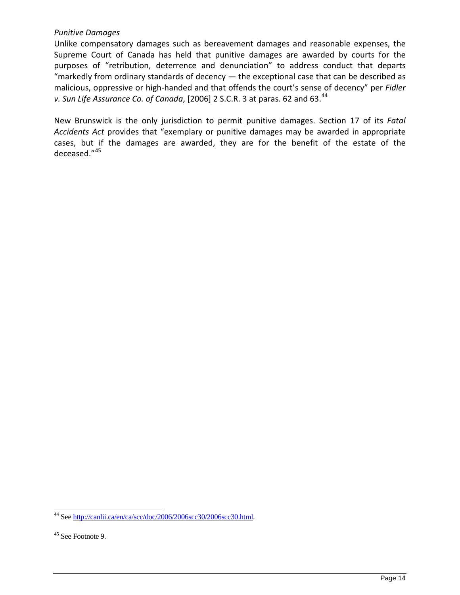### *Punitive Damages*

Unlike compensatory damages such as bereavement damages and reasonable expenses, the Supreme Court of Canada has held that punitive damages are awarded by courts for the purposes of "retribution, deterrence and denunciation" to address conduct that departs "markedly from ordinary standards of decency  $-$  the exceptional case that can be described as malicious, oppressive or high-handed and that offends the court's sense of decency" per *Fidler v. Sun Life Assurance Co. of Canada*, [2006] 2 S.C.R. 3 at paras. 62 and 63.<sup>44</sup>

New Brunswick is the only jurisdiction to permit punitive damages. Section 17 of its *Fatal Accidents Act* provides that "exemplary or punitive damages may be awarded in appropriate cases, but if the damages are awarded, they are for the benefit of the estate of the deceased."<sup>45</sup>

<sup>44</sup> See http://canlii.ca/en/ca/scc/doc/2006/2006scc30/2006scc30.html.

<sup>45</sup> See Footnote 9.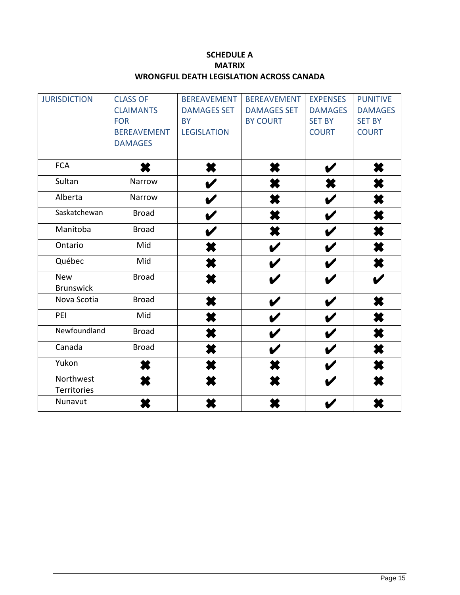# **SCHEDULE A MATRIX WRONGFUL DEATH LEGISLATION ACROSS CANADA**

| <b>JURISDICTION</b> | <b>CLASS OF</b>    | <b>BEREAVEMENT</b> | <b>BEREAVEMENT</b> | <b>EXPENSES</b> | <b>PUNITIVE</b> |
|---------------------|--------------------|--------------------|--------------------|-----------------|-----------------|
|                     | <b>CLAIMANTS</b>   | <b>DAMAGES SET</b> | <b>DAMAGES SET</b> | <b>DAMAGES</b>  | <b>DAMAGES</b>  |
|                     | <b>FOR</b>         | <b>BY</b>          | <b>BY COURT</b>    | <b>SET BY</b>   | <b>SET BY</b>   |
|                     | <b>BEREAVEMENT</b> | <b>LEGISLATION</b> |                    | <b>COURT</b>    | <b>COURT</b>    |
|                     | <b>DAMAGES</b>     |                    |                    |                 |                 |
|                     |                    |                    |                    |                 |                 |
| <b>FCA</b>          |                    | ×                  |                    |                 | ×               |
| Sultan              | Narrow             |                    |                    |                 |                 |
| Alberta             | Narrow             |                    |                    |                 |                 |
| Saskatchewan        | <b>Broad</b>       |                    |                    |                 | ×               |
| Manitoba            | <b>Broad</b>       |                    |                    |                 | X               |
| Ontario             | Mid                | К                  |                    |                 | ×               |
| Québec              | Mid                | ×                  |                    |                 | ×               |
| <b>New</b>          | <b>Broad</b>       | K                  | V                  |                 |                 |
| <b>Brunswick</b>    |                    |                    |                    |                 |                 |
| Nova Scotia         | <b>Broad</b>       | X                  |                    |                 | ×               |
| PEI                 | Mid                | K                  |                    |                 | X               |
| Newfoundland        | <b>Broad</b>       |                    |                    |                 |                 |
| Canada              | <b>Broad</b>       |                    |                    |                 |                 |
| Yukon               |                    | X                  |                    |                 |                 |
| Northwest           |                    |                    |                    |                 |                 |
| Territories         |                    |                    |                    |                 |                 |
| Nunavut             |                    |                    |                    |                 |                 |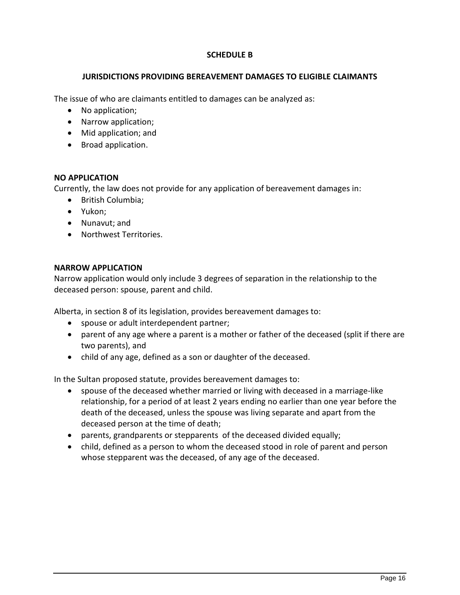## **SCHEDULE B**

#### **JURISDICTIONS PROVIDING BEREAVEMENT DAMAGES TO ELIGIBLE CLAIMANTS**

The issue of who are claimants entitled to damages can be analyzed as:

- No application;
- Narrow application;
- Mid application; and
- Broad application.

### **NO APPLICATION**

Currently, the law does not provide for any application of bereavement damages in:

- British Columbia;
- Yukon;
- Nunavut; and
- Northwest Territories.

#### **NARROW APPLICATION**

Narrow application would only include 3 degrees of separation in the relationship to the deceased person: spouse, parent and child.

Alberta, in section 8 of its legislation, provides bereavement damages to:

- spouse or adult interdependent partner;
- parent of any age where a parent is a mother or father of the deceased (split if there are two parents), and
- child of any age, defined as a son or daughter of the deceased.

In the Sultan proposed statute, provides bereavement damages to:

- spouse of the deceased whether married or living with deceased in a marriage-like relationship, for a period of at least 2 years ending no earlier than one year before the death of the deceased, unless the spouse was living separate and apart from the deceased person at the time of death;
- parents, grandparents or stepparents of the deceased divided equally;
- child, defined as a person to whom the deceased stood in role of parent and person whose stepparent was the deceased, of any age of the deceased.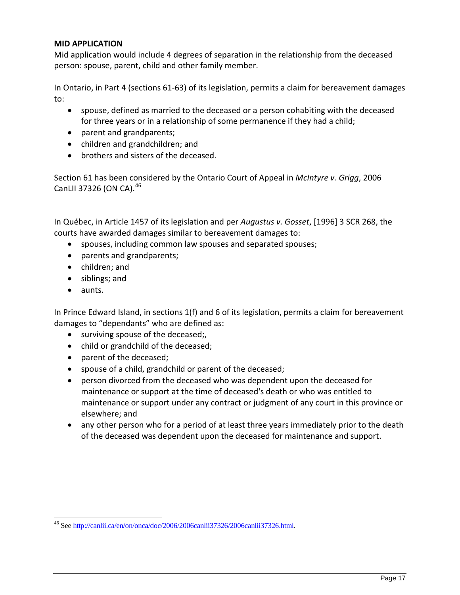#### **MID APPLICATION**

Mid application would include 4 degrees of separation in the relationship from the deceased person: spouse, parent, child and other family member.

In Ontario, in Part 4 (sections 61-63) of its legislation, permits a claim for bereavement damages to:

- spouse, defined as married to the deceased or a person cohabiting with the deceased for three years or in a relationship of some permanence if they had a child;
- parent and grandparents;
- children and grandchildren; and
- brothers and sisters of the deceased.

Section 61 has been considered by the Ontario Court of Appeal in *McIntyre v. Grigg*, 2006 CanLII 37326 (ON CA).<sup>46</sup>

In Québec, in Article 1457 of its legislation and per *Augustus v. Gosset*, [1996] 3 SCR 268, the courts have awarded damages similar to bereavement damages to:

- spouses, including common law spouses and separated spouses;
- parents and grandparents;
- children; and
- siblings; and
- aunts.

In Prince Edward Island, in sections 1(f) and 6 of its legislation, permits a claim for bereavement damages to "dependants" who are defined as:

- surviving spouse of the deceased;
- child or grandchild of the deceased;
- parent of the deceased;
- spouse of a child, grandchild or parent of the deceased;
- person divorced from the deceased who was dependent upon the deceased for maintenance or support at the time of deceased's death or who was entitled to maintenance or support under any contract or judgment of any court in this province or elsewhere; and
- any other person who for a period of at least three years immediately prior to the death of the deceased was dependent upon the deceased for maintenance and support.

<sup>46</sup> See http://canlii.ca/en/on/onca/doc/2006/2006canlii37326/2006canlii37326.html.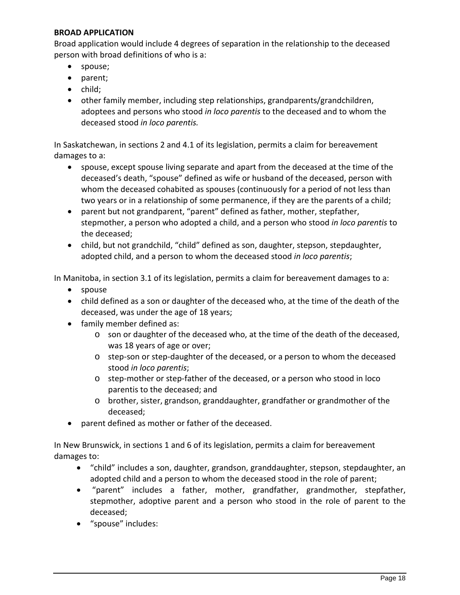### **BROAD APPLICATION**

Broad application would include 4 degrees of separation in the relationship to the deceased person with broad definitions of who is a:

- spouse;
- parent;
- child;
- other family member, including step relationships, grandparents/grandchildren, adoptees and persons who stood *in loco parentis* to the deceased and to whom the deceased stood *in loco parentis.*

In Saskatchewan, in sections 2 and 4.1 of its legislation, permits a claim for bereavement damages to a:

- spouse, except spouse living separate and apart from the deceased at the time of the deceased's death, "spouse" defined as wife or husband of the deceased, person with whom the deceased cohabited as spouses (continuously for a period of not less than two years or in a relationship of some permanence, if they are the parents of a child;
- parent but not grandparent, "parent" defined as father, mother, stepfather, stepmother, a person who adopted a child, and a person who stood *in loco parentis* to the deceased;
- child, but not grandchild, "child" defined as son, daughter, stepson, stepdaughter, adopted child, and a person to whom the deceased stood *in loco parentis*;

In Manitoba, in section 3.1 of its legislation, permits a claim for bereavement damages to a:

- spouse
- child defined as a son or daughter of the deceased who, at the time of the death of the deceased, was under the age of 18 years;
- family member defined as:
	- o son or daughter of the deceased who, at the time of the death of the deceased, was 18 years of age or over;
	- o step-son or step-daughter of the deceased, or a person to whom the deceased stood *in loco parentis*;
	- o step-mother or step-father of the deceased, or a person who stood in loco parentis to the deceased; and
	- o brother, sister, grandson, granddaughter, grandfather or grandmother of the deceased;
- parent defined as mother or father of the deceased.

In New Brunswick, in sections 1 and 6 of its legislation, permits a claim for bereavement damages to:

- "child" includes a son, daughter, grandson, granddaughter, stepson, stepdaughter, an adopted child and a person to whom the deceased stood in the role of parent;
- "parent" includes a father, mother, grandfather, grandmother, stepfather, stepmother, adoptive parent and a person who stood in the role of parent to the deceased;
- "spouse" includes: